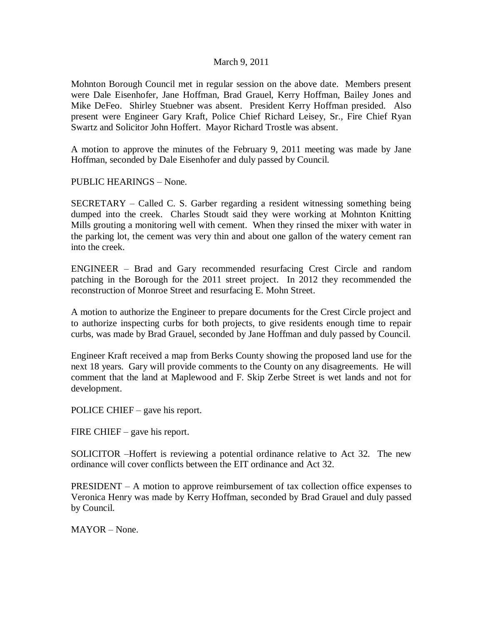## March 9, 2011

Mohnton Borough Council met in regular session on the above date. Members present were Dale Eisenhofer, Jane Hoffman, Brad Grauel, Kerry Hoffman, Bailey Jones and Mike DeFeo. Shirley Stuebner was absent. President Kerry Hoffman presided. Also present were Engineer Gary Kraft, Police Chief Richard Leisey, Sr., Fire Chief Ryan Swartz and Solicitor John Hoffert. Mayor Richard Trostle was absent.

A motion to approve the minutes of the February 9, 2011 meeting was made by Jane Hoffman, seconded by Dale Eisenhofer and duly passed by Council.

PUBLIC HEARINGS – None.

SECRETARY – Called C. S. Garber regarding a resident witnessing something being dumped into the creek. Charles Stoudt said they were working at Mohnton Knitting Mills grouting a monitoring well with cement. When they rinsed the mixer with water in the parking lot, the cement was very thin and about one gallon of the watery cement ran into the creek.

ENGINEER – Brad and Gary recommended resurfacing Crest Circle and random patching in the Borough for the 2011 street project. In 2012 they recommended the reconstruction of Monroe Street and resurfacing E. Mohn Street.

A motion to authorize the Engineer to prepare documents for the Crest Circle project and to authorize inspecting curbs for both projects, to give residents enough time to repair curbs, was made by Brad Grauel, seconded by Jane Hoffman and duly passed by Council.

Engineer Kraft received a map from Berks County showing the proposed land use for the next 18 years. Gary will provide comments to the County on any disagreements. He will comment that the land at Maplewood and F. Skip Zerbe Street is wet lands and not for development.

POLICE CHIEF – gave his report.

FIRE CHIEF – gave his report.

SOLICITOR –Hoffert is reviewing a potential ordinance relative to Act 32. The new ordinance will cover conflicts between the EIT ordinance and Act 32.

PRESIDENT – A motion to approve reimbursement of tax collection office expenses to Veronica Henry was made by Kerry Hoffman, seconded by Brad Grauel and duly passed by Council.

MAYOR – None.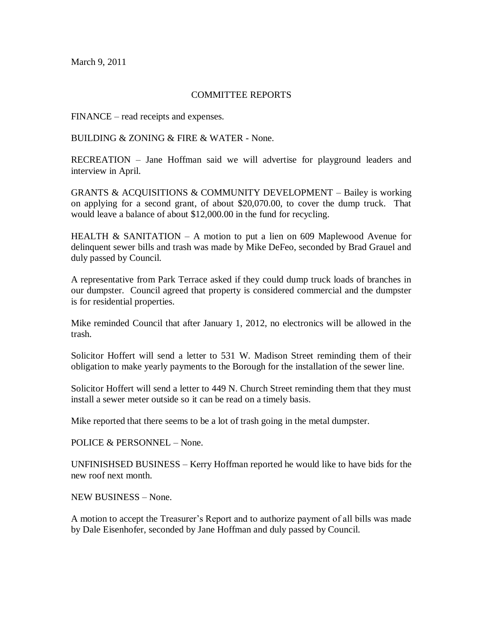March 9, 2011

## COMMITTEE REPORTS

FINANCE – read receipts and expenses.

BUILDING & ZONING & FIRE & WATER - None.

RECREATION – Jane Hoffman said we will advertise for playground leaders and interview in April.

GRANTS & ACQUISITIONS & COMMUNITY DEVELOPMENT – Bailey is working on applying for a second grant, of about \$20,070.00, to cover the dump truck. That would leave a balance of about \$12,000.00 in the fund for recycling.

HEALTH & SANITATION – A motion to put a lien on 609 Maplewood Avenue for delinquent sewer bills and trash was made by Mike DeFeo, seconded by Brad Grauel and duly passed by Council.

A representative from Park Terrace asked if they could dump truck loads of branches in our dumpster. Council agreed that property is considered commercial and the dumpster is for residential properties.

Mike reminded Council that after January 1, 2012, no electronics will be allowed in the trash.

Solicitor Hoffert will send a letter to 531 W. Madison Street reminding them of their obligation to make yearly payments to the Borough for the installation of the sewer line.

Solicitor Hoffert will send a letter to 449 N. Church Street reminding them that they must install a sewer meter outside so it can be read on a timely basis.

Mike reported that there seems to be a lot of trash going in the metal dumpster.

POLICE & PERSONNEL – None.

UNFINISHSED BUSINESS – Kerry Hoffman reported he would like to have bids for the new roof next month.

NEW BUSINESS – None.

A motion to accept the Treasurer's Report and to authorize payment of all bills was made by Dale Eisenhofer, seconded by Jane Hoffman and duly passed by Council.